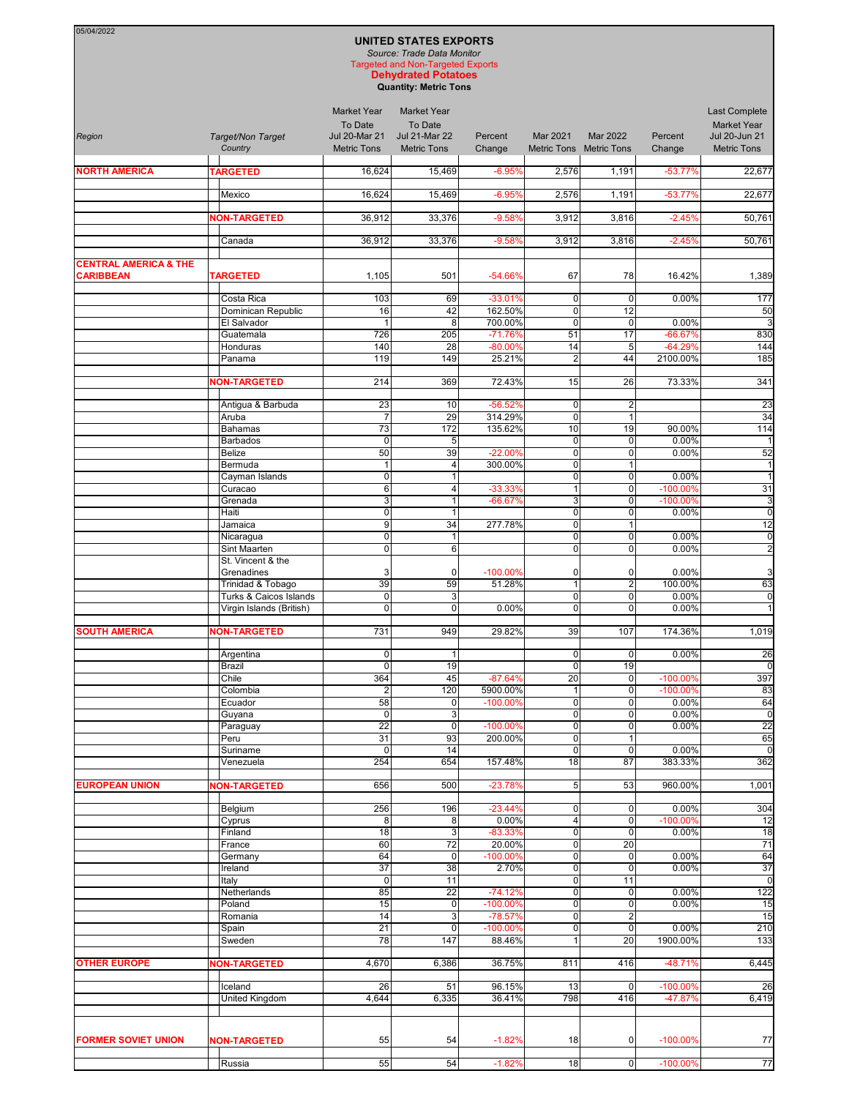| 05/04/2022                                           |  |                                                 |                                                                             | <b>UNITED STATES EXPORTS</b><br>Source: Trade Data Monitor<br><b>Targeted and Non-Targeted Exports</b> |                                 |                                        |                                        |                       |                                                                            |
|------------------------------------------------------|--|-------------------------------------------------|-----------------------------------------------------------------------------|--------------------------------------------------------------------------------------------------------|---------------------------------|----------------------------------------|----------------------------------------|-----------------------|----------------------------------------------------------------------------|
|                                                      |  |                                                 |                                                                             | <b>Dehydrated Potatoes</b><br><b>Quantity: Metric Tons</b>                                             |                                 |                                        |                                        |                       |                                                                            |
| Region                                               |  | Target/Non Target<br>Country                    | <b>Market Year</b><br>To Date<br><b>Jul 20-Mar 21</b><br><b>Metric Tons</b> | <b>Market Year</b><br>To Date<br><b>Jul 21-Mar 22</b><br><b>Metric Tons</b>                            | Percent<br>Change               | Mar 2021                               | Mar 2022<br>Metric Tons Metric Tons    | Percent<br>Change     | Last Complete<br><b>Market Year</b><br>Jul 20-Jun 21<br><b>Metric Tons</b> |
| <b>NORTH AMERICA</b>                                 |  | <b>TARGETED</b>                                 | 16,624                                                                      | 15,469                                                                                                 | $-6.95%$                        | 2,576                                  | 1,191                                  | $-53.77%$             | 22,677                                                                     |
|                                                      |  | Mexico                                          | 16,624                                                                      | 15.469                                                                                                 | $-6.95%$                        | 2,576                                  | 1,191                                  | $-53.77%$             | 22,677                                                                     |
|                                                      |  | <b>NON-TARGETED</b>                             | 36,912                                                                      | 33,376                                                                                                 | $-9.58%$                        | 3,912                                  | 3,816                                  | $-2.45%$              | 50,761                                                                     |
|                                                      |  | Canada                                          | 36,912                                                                      | 33,376                                                                                                 | $-9.58%$                        | 3,912                                  | 3,816                                  | $-2.45%$              | 50,761                                                                     |
| <b>CENTRAL AMERICA &amp; THE</b><br><b>CARIBBEAN</b> |  | <b>TARGETED</b>                                 | 1,105                                                                       | 501                                                                                                    | $-54.66%$                       | 67                                     | 78                                     | 16.42%                | 1,389                                                                      |
|                                                      |  | Costa Rica<br>Dominican Republic<br>El Salvador | 103<br>16<br>$\mathbf{1}$                                                   | 69<br>42<br>8                                                                                          | $-33.01%$<br>162.50%<br>700.00% | $\mathbf 0$<br>$\mathbf 0$<br>$\Omega$ | $\overline{0}$<br>12<br>$\overline{0}$ | 0.00%<br>0.00%        | 177<br>50                                                                  |
|                                                      |  | Guatemala                                       | 726                                                                         | 205                                                                                                    | $-71.76%$                       | 51                                     | 17                                     | $-66.67%$             | 830                                                                        |
|                                                      |  | Honduras<br>Panama                              | 140<br>119                                                                  | 28<br>149                                                                                              | $-80.00%$<br>25.21%             | 14<br>$\overline{2}$                   | 5<br>44                                | $-64.29%$<br>2100.00% | 144<br>185                                                                 |
|                                                      |  | <b>NON-TARGETED</b>                             | 214                                                                         | 369                                                                                                    | 72.43%                          | 15                                     | 26                                     | 73.33%                | 341                                                                        |
|                                                      |  |                                                 |                                                                             |                                                                                                        |                                 |                                        |                                        |                       |                                                                            |
|                                                      |  | Antigua & Barbuda<br>Aruba                      | 23<br>$\overline{7}$                                                        | 10<br>29                                                                                               | $-56.52%$<br>314.29%            | $\mathbf 0$<br>$\mathbf 0$             | $\overline{2}$<br>$\mathbf{1}$         |                       | 23<br>34                                                                   |
|                                                      |  | <b>Bahamas</b><br><b>Barbados</b>               | 73<br>$\mathbf 0$                                                           | $\overline{172}$                                                                                       | 135.62%                         | 10<br>$\mathbf 0$                      | 19<br>$\mathbf 0$                      | 90.00%<br>0.00%       | 114                                                                        |
|                                                      |  | Belize                                          | 50                                                                          | 5 <sub>l</sub><br>39                                                                                   | $-22.00%$                       | $\mathbf 0$                            | $\mathbf 0$                            | 0.00%                 | 52                                                                         |
|                                                      |  | Bermuda                                         | $\mathbf{1}$                                                                | $\overline{4}$                                                                                         | 300.00%                         | $\overline{0}$                         | 1                                      |                       | $\overline{1}$                                                             |
|                                                      |  | Cayman Islands<br>Curacao                       | $\overline{0}$<br>6                                                         | $\mathbf{1}$<br>$\overline{4}$                                                                         | $-33.33%$                       | $\mathbf 0$<br>1                       | $\mathbf 0$<br>$\overline{0}$          | 0.00%<br>-100.00%     | 31                                                                         |
|                                                      |  | Grenada                                         | 3                                                                           | $\mathbf{1}$                                                                                           | $-66.67%$                       | 3                                      | $\overline{0}$                         | -100.00%              | Ş                                                                          |
|                                                      |  | Haiti<br>Jamaica                                | $\mathbf 0$<br>$\overline{9}$                                               | $\mathbf{1}$<br>34                                                                                     | 277.78%                         | $\overline{0}$<br>$\mathbf 0$          | $\overline{0}$<br>$\mathbf{1}$         | 0.00%                 | $\mathsf{C}$<br>12                                                         |
|                                                      |  | Nicaragua                                       | 0                                                                           | 1                                                                                                      |                                 | $\mathbf 0$                            | $\mathbf 0$                            | 0.00%                 | $\mathsf{C}$                                                               |
|                                                      |  | Sint Maarten<br>St. Vincent & the               | 0                                                                           | $6 \,$                                                                                                 |                                 | $\mathbf 0$                            | $\mathbf 0$                            | 0.00%                 | 2                                                                          |
|                                                      |  | Grenadines                                      | 3                                                                           | $\mathbf 0$                                                                                            | $-100.00\%$                     | $\mathbf 0$                            | 0                                      | 0.00%                 | G                                                                          |
|                                                      |  | Trinidad & Tobago<br>Turks & Caicos Islands     | 39<br>$\mathbf 0$                                                           | 59<br>3                                                                                                | 51.28%                          | 1<br>0                                 | $\overline{2}$<br>$\overline{0}$       | 100.00%<br>0.00%      | 63<br>C                                                                    |
|                                                      |  | Virgin Islands (British)                        | $\overline{0}$                                                              | $\overline{0}$                                                                                         | 0.00%                           | $\overline{0}$                         | $\overline{0}$                         | 0.00%                 |                                                                            |
| <b>SOUTH AMERICA</b>                                 |  | <b>NON-TARGETED</b>                             | 731                                                                         | 949                                                                                                    | 29.82%                          | 39                                     | 107                                    | 174.36%               | 1,019                                                                      |
|                                                      |  | Argentina<br>Brazil                             | $\overline{0}$<br>$\overline{\mathbf{0}}$                                   | $\vert$ 1<br>19                                                                                        |                                 | $\overline{0}$<br>$\overline{0}$       | 0 <br>19                               | 0.00%                 | 26<br>$\mathsf{C}$                                                         |
|                                                      |  | Chile                                           | 364                                                                         | 45                                                                                                     | $-87.64%$                       | 20                                     | $\overline{0}$                         | -100.00%              | 397                                                                        |
|                                                      |  | Colombia<br>Ecuador                             | $\overline{\mathbf{c}}$<br>58                                               | 120<br>$\overline{0}$                                                                                  | 5900.00%<br>$-100.00\%$         | 0                                      | $\overline{0}$<br>$\mathbf 0$          | -100.00%<br>0.00%     | 83<br>64                                                                   |
|                                                      |  | Guyana                                          | $\mathbf 0$                                                                 | $\mathbf{3}$                                                                                           |                                 | $\overline{0}$                         | $\overline{0}$                         | 0.00%                 | $\mathsf{C}$                                                               |
|                                                      |  | Paraguay                                        | 22                                                                          | $\overline{0}$                                                                                         | $-100.00\%$                     | $\overline{0}$                         | $\overline{0}$                         | 0.00%                 | 22                                                                         |
|                                                      |  | Peru<br>Suriname<br>Venezuela                   | 31<br>$\mathbf 0$<br>254                                                    | 93<br>14<br>654                                                                                        | 200.00%<br>157.48%              | $\overline{0}$<br>$\overline{0}$<br>18 | $\vert$ 1<br>$\overline{0}$<br>87      | 0.00%<br>383.33%      | 65<br>C<br>362                                                             |
| <b>EUROPEAN UNION</b>                                |  | <b>NON-TARGETED</b>                             | 656                                                                         | 500                                                                                                    | $-23.78%$                       | 5 <sub>l</sub>                         | 53                                     | 960.00%               | 1,001                                                                      |
|                                                      |  | Belgium                                         | 256                                                                         | 196                                                                                                    | $-23.44%$                       | $\overline{0}$                         | $\overline{0}$                         | 0.00%                 | 304                                                                        |
|                                                      |  | Cyprus                                          | 8<br>18                                                                     | 8<br>3                                                                                                 | 0.00%<br>$-83.33%$              | 4<br>$\overline{0}$                    | $\overline{0}$<br>$\mathbf 0$          | $-100.00%$<br>0.00%   | 12<br>18                                                                   |
|                                                      |  | Finland<br>France                               | 60                                                                          | 72                                                                                                     | 20.00%                          | 0                                      | 20                                     |                       | 71                                                                         |
|                                                      |  | Germany                                         | 64                                                                          | $\mathbf 0$                                                                                            | $-100.00\%$                     | $\mathbf 0$                            | $\overline{0}$                         | 0.00%                 | 64                                                                         |
|                                                      |  | Ireland<br>Italy                                | 37<br>$\mathbf 0$                                                           | 38<br>11                                                                                               | 2.70%                           | 0<br>$\overline{0}$                    | $\mathbf 0$<br>11                      | 0.00%                 | 37<br>$\mathsf{C}$                                                         |
|                                                      |  | Netherlands                                     | 85                                                                          | $\overline{22}$                                                                                        | $-74.12%$                       | $\mathbf 0$                            | $\overline{0}$                         | 0.00%                 | 122                                                                        |
|                                                      |  | Poland<br>Romania                               | 15<br>14                                                                    | 0 <br>$\mathbf{3}$                                                                                     | $-100.00\%$<br>$-78.57%$        | $\overline{0}$<br>$\overline{0}$       | 0 <br>$\overline{2}$                   | 0.00%                 | 15<br>15                                                                   |
|                                                      |  | Spain                                           | 21                                                                          | $\overline{0}$                                                                                         | $-100.00\%$                     | $\overline{0}$                         | $\overline{0}$                         | 0.00%                 | 210                                                                        |
|                                                      |  | Sweden                                          | 78                                                                          | 147                                                                                                    | 88.46%                          | 1                                      | 20                                     | 1900.00%              | 133                                                                        |
| <b>OTHER EUROPE</b>                                  |  | <b>NON-TARGETED</b>                             | 4,670                                                                       | 6,386                                                                                                  | 36.75%                          | 811                                    | 416                                    | -48.71%               | 6,445                                                                      |
|                                                      |  | Iceland                                         | 26                                                                          | 51                                                                                                     | 96.15%                          | 13                                     | 0                                      | $-100.00%$            | 26                                                                         |
|                                                      |  | United Kingdom                                  | 4,644                                                                       | 6,335                                                                                                  | 36.41%                          | 798                                    | 416                                    | -47.87%               | 6,419                                                                      |
| <b>FORMER SOVIET UNION</b>                           |  | <b>NON-TARGETED</b>                             | 55                                                                          | 54                                                                                                     | $-1.82%$                        | 18                                     | $\overline{0}$                         | $-100.00%$            | 77                                                                         |
|                                                      |  |                                                 |                                                                             |                                                                                                        |                                 |                                        |                                        |                       |                                                                            |

Russia 55 54 -1.82% 18 0 -100.00% 77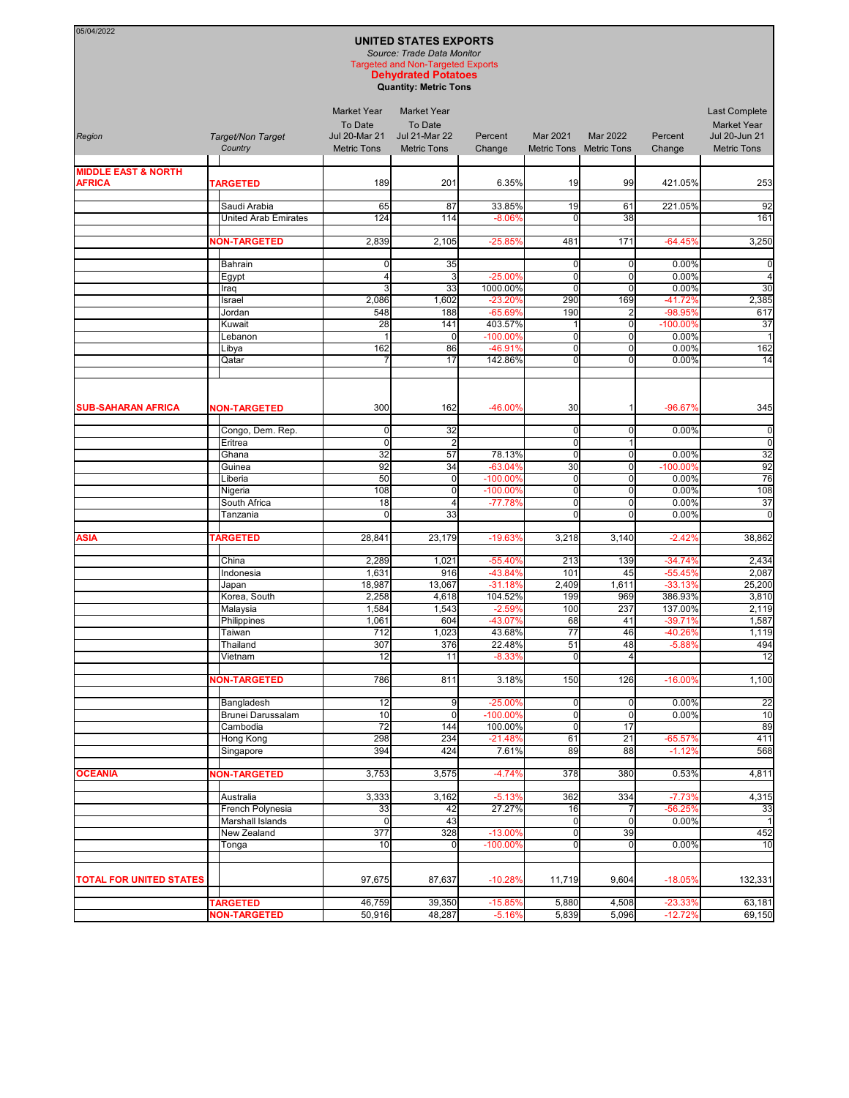| 05/04/2022                     |                                      |                                                       | <b>UNITED STATES EXPORTS</b>                                                                                                         |                       |                      |                                     |                       |                                            |
|--------------------------------|--------------------------------------|-------------------------------------------------------|--------------------------------------------------------------------------------------------------------------------------------------|-----------------------|----------------------|-------------------------------------|-----------------------|--------------------------------------------|
|                                |                                      |                                                       | Source: Trade Data Monitor<br><b>Targeted and Non-Targeted Exports</b><br><b>Dehydrated Potatoes</b><br><b>Quantity: Metric Tons</b> |                       |                      |                                     |                       |                                            |
| Region                         |                                      | <b>Market Year</b><br>To Date<br><b>Jul 20-Mar 21</b> | <b>Market Year</b><br>To Date<br><b>Jul 21-Mar 22</b>                                                                                | Percent               |                      |                                     |                       | <b>Last Complete</b><br><b>Market Year</b> |
|                                | Target/Non Target<br>Country         | <b>Metric Tons</b>                                    | <b>Metric Tons</b>                                                                                                                   | Change                | Mar 2021             | Mar 2022<br>Metric Tons Metric Tons | Percent<br>Change     | Jul 20-Jun 21<br><b>Metric Tons</b>        |
| <b>MIDDLE EAST &amp; NORTH</b> |                                      |                                                       |                                                                                                                                      |                       |                      |                                     |                       |                                            |
| <b>AFRICA</b>                  | <b>TARGETED</b>                      | 189                                                   | 201                                                                                                                                  | 6.35%                 | 19                   | 99                                  | 421.05%               | 253                                        |
|                                | Saudi Arabia                         | 65                                                    | 87                                                                                                                                   | 33.85%                | 19                   | 61                                  | 221.05%               | 92                                         |
|                                | <b>United Arab Emirates</b>          | 124                                                   | 114                                                                                                                                  | $-8.06%$              | $\mathbf 0$          | 38                                  |                       | 161                                        |
|                                | <b>NON-TARGETED</b>                  | 2,839                                                 | 2,105                                                                                                                                | $-25.85%$             | 481                  | 171                                 | $-64.45%$             | 3,250                                      |
|                                | Bahrain                              | 0                                                     | 35                                                                                                                                   |                       | $\mathbf 0$          | $\mathbf 0$                         | 0.00%                 | C                                          |
|                                | Egypt                                | $\overline{4}$                                        | 3                                                                                                                                    | $-25.00%$             | 0                    | 0                                   | 0.00%                 | 4                                          |
|                                | Iraq<br>Israel                       | 3<br>2,086                                            | 33<br>1,602                                                                                                                          | 1000.00%<br>$-23.20%$ | $\mathbf 0$<br>290   | $\mathbf{0}$<br>169                 | 0.00%<br>$-41.72%$    | 3 <sub>C</sub><br>2,385                    |
|                                | Jordan                               | 548                                                   | 188                                                                                                                                  | $-65.69%$             | 190                  | $\overline{2}$                      | -98.95%               | 617                                        |
|                                | Kuwait                               | 28                                                    | 141                                                                                                                                  | 403.57%               |                      | 0                                   | -100.00%              | 37                                         |
|                                | Lebanon<br>Libya                     | $\mathbf{1}$<br>162                                   | $\mathbf 0$<br>86                                                                                                                    | $-100.00%$<br>-46.91% | $\mathbf 0$<br>0     | 0<br>0                              | 0.00%<br>0.00%        | $\overline{1}$<br>162                      |
|                                | Qatar                                | 7                                                     | 17                                                                                                                                   | 142.86%               | οl                   | $\Omega$                            | 0.00%                 | 14                                         |
|                                |                                      |                                                       |                                                                                                                                      |                       |                      |                                     |                       |                                            |
| <b>SUB-SAHARAN AFRICA</b>      | <b>NON-TARGETED</b>                  | 300                                                   | 162                                                                                                                                  | $-46.00%$             | 30                   | $\mathbf{1}$                        | $-96.67%$             | 345                                        |
|                                | Congo, Dem. Rep.                     | 0                                                     | 32                                                                                                                                   |                       | 0                    | 0                                   | 0.00%                 | C                                          |
|                                | Eritrea                              | $\mathbf 0$                                           | $\overline{2}$                                                                                                                       |                       | $\mathbf 0$          | 1                                   |                       | C                                          |
|                                | Ghana                                | 32                                                    | 57                                                                                                                                   | 78.13%                | $\mathbf 0$          | $\mathbf 0$                         | 0.00%                 | 32                                         |
|                                | Guinea                               | 92<br>50                                              | 34<br>$\mathbf 0$                                                                                                                    | $-63.04%$<br>-100.00% | 30<br>$\mathbf 0$    | $\mathbf 0$<br>0                    | $-100.00%$<br>0.00%   | 92<br>76                                   |
|                                | Liberia<br>Nigeria                   | 108                                                   | $\mathbf 0$                                                                                                                          | $-100.00%$            | $\mathbf 0$          | 0                                   | 0.00%                 | 108                                        |
|                                | South Africa                         | 18                                                    | 4                                                                                                                                    | $-77.78%$             | $\mathbf 0$          | $\mathbf 0$                         | 0.00%                 | 37                                         |
|                                | Tanzania                             | $\Omega$                                              | 33                                                                                                                                   |                       | $\Omega$             | $\Omega$                            | 0.00%                 | C                                          |
| ASIA                           | <b>TARGETED</b>                      | 28,841                                                | 23,179                                                                                                                               | $-19.63%$             | 3,218                | 3,140                               | $-2.42%$              | 38,862                                     |
|                                | China                                | 2,289                                                 | 1,021                                                                                                                                | $-55.40%$             | 213                  | 139                                 | $-34.74%$             | 2,434                                      |
|                                | Indonesia                            | 1,631                                                 | 916                                                                                                                                  | $-43.84%$             | 101                  | 45                                  | $-55.45%$             | 2,087                                      |
|                                | Japan<br>Korea, South                | 18,987<br>2,258                                       | 13,067<br>4,618                                                                                                                      | $-31.18%$<br>104.52%  | 2,409<br>199         | 1,611<br>969                        | $-33.13%$<br>386.93%  | 25,200<br>3,810                            |
|                                | Malaysia                             | 1,584                                                 | 1,543                                                                                                                                | $-2.59%$              | 100                  | 237                                 | 137.00%               | 2,119                                      |
|                                | Philippines                          | 1,061                                                 | 604                                                                                                                                  | -43.07%               | 68                   | 41                                  | $-39.71%$             | 1,587                                      |
|                                | Taiwan                               | 712                                                   | 1,023                                                                                                                                | 43.68%                | 77                   | 46                                  | $-40.26%$             | 1,119                                      |
|                                | Thailand<br>Vietnam                  | 307<br>12                                             | 376<br>11                                                                                                                            | 22.48%<br>$-8.33%$    | 51<br>$\overline{0}$ | 48<br>$\overline{4}$                | $-5.88%$              | 494<br>12                                  |
|                                | <b>NON-TARGETED</b>                  | 786                                                   | 811                                                                                                                                  | 3.18%                 | 150                  | 126                                 | $-16.00%$             | 1,100                                      |
|                                | Bangladesh                           | 12                                                    | 9                                                                                                                                    | $-25.00%$             | 0                    | $\mathbf 0$                         | 0.00%                 | $\overline{22}$                            |
|                                | Brunei Darussalam                    | 10                                                    | 0                                                                                                                                    | $-100.00%$            | 0                    | $\mathbf 0$                         | 0.00%                 | 10                                         |
|                                | Cambodia                             | $\overline{72}$                                       | 144                                                                                                                                  | 100.00%               | $\mathbf 0$          | $\overline{17}$                     |                       | 89                                         |
|                                | Hong Kong<br>Singapore               | 298<br>394                                            | 234<br>424                                                                                                                           | $-21.48%$<br>7.61%    | 61<br>89             | 21<br>88                            | $-65.57%$<br>$-1.12%$ | 411<br>568                                 |
|                                |                                      |                                                       |                                                                                                                                      |                       |                      |                                     |                       |                                            |
| <b>OCEANIA</b>                 | <b>NON-TARGETED</b>                  | 3,753                                                 | 3,575                                                                                                                                | $-4.74%$              | 378                  | 380                                 | 0.53%                 | 4,811                                      |
|                                | Australia                            | 3,333                                                 | 3,162                                                                                                                                | $-5.13%$              | 362                  | 334                                 | $-7.73%$              | 4,315                                      |
|                                | French Polynesia<br>Marshall Islands | 33<br>$\mathbf 0$                                     | 42<br>43                                                                                                                             | 27.27%                | 16<br> 0             | 7<br>$\mathbf 0$                    | $-56.25%$<br>0.00%    | 33<br>-1                                   |
|                                | New Zealand                          | 377                                                   | 328                                                                                                                                  | $-13.00%$             | $\Omega$             | 39                                  |                       | 452                                        |
|                                | Tonga                                | 10                                                    | $\Omega$                                                                                                                             | $-100.00%$            | $\overline{0}$       | $\mathbf 0$                         | 0.00%                 | 10                                         |
| <b>TOTAL FOR UNITED STATES</b> |                                      | 97,675                                                | 87,637                                                                                                                               | $-10.28%$             | 11,719               | 9,604                               | $-18.05%$             | 132,331                                    |
|                                | <b>TARGETED</b>                      | 46,759                                                | 39,350                                                                                                                               | $-15.85%$             | 5,880                | 4,508                               | $-23.33%$             | 63,181                                     |
|                                | <b>NON-TARGETED</b>                  | 50,916                                                | 48,287                                                                                                                               | $-5.16%$              | 5,839                | 5,096                               | $-12.72%$             | 69,150                                     |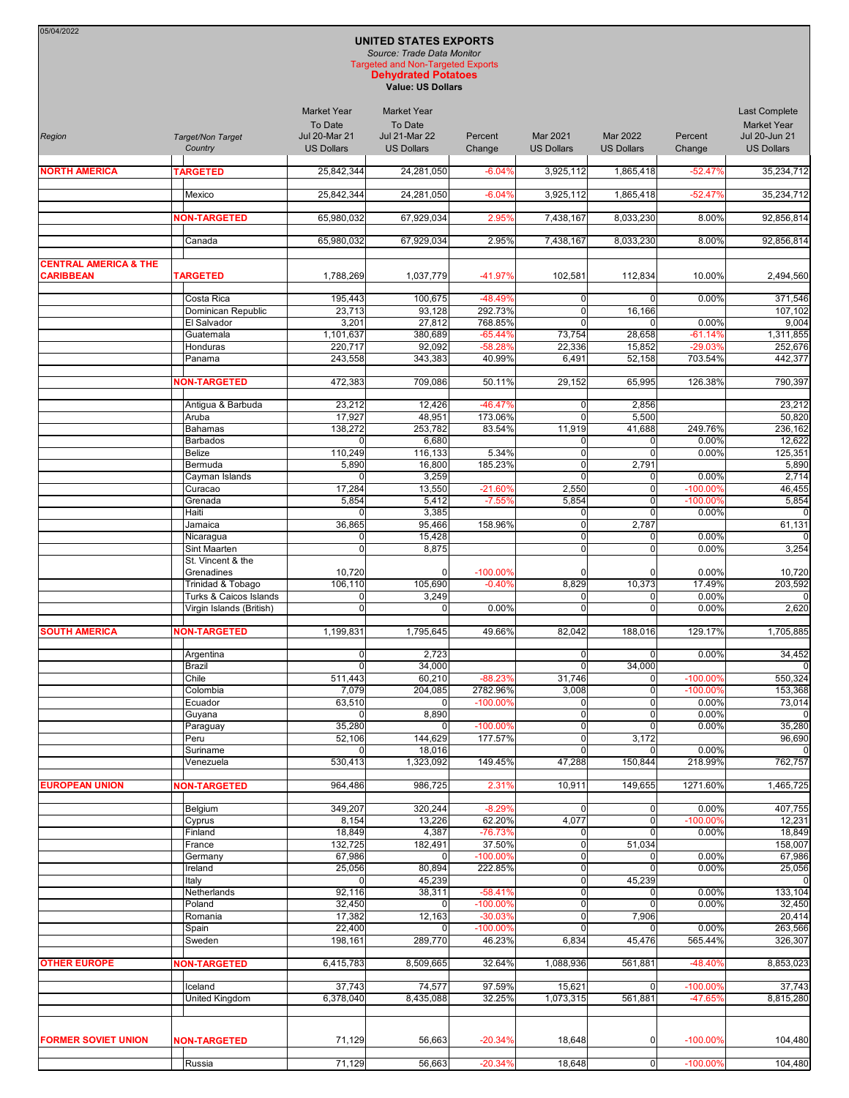| 05/04/2022                       |                                   |                                 |                                                            |                         |                               |                                  |                      |                                     |
|----------------------------------|-----------------------------------|---------------------------------|------------------------------------------------------------|-------------------------|-------------------------------|----------------------------------|----------------------|-------------------------------------|
|                                  |                                   |                                 | <b>UNITED STATES EXPORTS</b><br>Source: Trade Data Monitor |                         |                               |                                  |                      |                                     |
|                                  |                                   |                                 | <b>Targeted and Non-Targeted Exports</b>                   |                         |                               |                                  |                      |                                     |
|                                  |                                   |                                 | <b>Dehydrated Potatoes</b><br><b>Value: US Dollars</b>     |                         |                               |                                  |                      |                                     |
|                                  |                                   |                                 |                                                            |                         |                               |                                  |                      |                                     |
|                                  |                                   | <b>Market Year</b>              | <b>Market Year</b>                                         |                         |                               |                                  |                      | <b>Last Complete</b>                |
| Region                           | Target/Non Target                 | To Date<br><b>Jul 20-Mar 21</b> | To Date<br><b>Jul 21-Mar 22</b>                            | Percent                 | <b>Mar 2021</b>               | Mar 2022                         | Percent              | <b>Market Year</b><br>Jul 20-Jun 21 |
|                                  | Country                           | <b>US Dollars</b>               | <b>US Dollars</b>                                          | Change                  | <b>US Dollars</b>             | <b>US Dollars</b>                | Change               | <b>US Dollars</b>                   |
|                                  |                                   |                                 |                                                            |                         |                               |                                  |                      |                                     |
| <b>NORTH AMERICA</b>             | <b>TARGETED</b>                   | 25,842,344                      | 24.281.050                                                 | $-6.04%$                | 3,925,112                     | 1,865,418                        | $-52.47%$            | 35.234.712                          |
|                                  | Mexico                            | 25,842,344                      | 24,281,050                                                 | $-6.04%$                | 3,925,112                     | 1,865,418                        | $-52.47%$            | 35,234,712                          |
|                                  | <b>NON-TARGETED</b>               | 65,980,032                      | 67,929,034                                                 | 2.95%                   | 7,438,167                     | 8,033,230                        | 8.00%                | 92,856,814                          |
|                                  |                                   |                                 |                                                            |                         |                               |                                  |                      |                                     |
|                                  | Canada                            | 65,980,032                      | 67,929,034                                                 | 2.95%                   | 7,438,167                     | 8,033,230                        | 8.00%                | 92,856,814                          |
| <b>CENTRAL AMERICA &amp; THE</b> |                                   |                                 |                                                            |                         |                               |                                  |                      |                                     |
| <b>CARIBBEAN</b>                 | <b>TARGETED</b>                   | 1,788,269                       | 1,037,779                                                  | $-41.97%$               | 102,581                       | 112,834                          | 10.00%               | 2,494,560                           |
|                                  | Costa Rica                        | 195,443                         | 100,675                                                    | $-48.49%$               | 0                             | $\overline{0}$                   | 0.00%                | 371,546                             |
|                                  | Dominican Republic                | 23,713                          | 93,128                                                     | 292.73%                 | $\mathbf 0$                   | 16,166                           |                      | 107,102                             |
|                                  | El Salvador                       | 3,201                           | 27,812                                                     | 768.85%                 | $\Omega$                      | $\mathbf 0$                      | 0.00%                | 9,004                               |
|                                  | Guatemala<br>Honduras             | 1,101,637<br>220.717            | 380.689                                                    | $-65.44%$               | 73,754                        | 28,658                           | $-61.14%$            | 1,311,855                           |
|                                  | Panama                            | 243,558                         | 92,092<br>343,383                                          | $-58.28%$<br>40.99%     | 22,336<br>6,491               | 15,852<br>52,158                 | $-29.03%$<br>703.54% | 252,676<br>442,377                  |
|                                  |                                   |                                 |                                                            |                         |                               |                                  |                      |                                     |
|                                  | <b>NON-TARGETED</b>               | 472,383                         | 709,086                                                    | 50.11%                  | 29,152                        | 65,995                           | 126.38%              | 790,397                             |
|                                  | Antigua & Barbuda                 | 23,212                          | 12,426                                                     | $-46.47%$               | 0                             | 2,856                            |                      | 23,212                              |
|                                  | Aruba                             | 17,927                          | 48,951                                                     | 173.06%                 | $\Omega$                      | 5,500                            |                      | 50,820                              |
|                                  | <b>Bahamas</b>                    | 138,272                         | 253,782                                                    | 83.54%                  | 11,919                        | 41,688                           | 249.76%              | 236.162                             |
|                                  | <b>Barbados</b>                   | $\Omega$                        | 6,680                                                      |                         | 0                             | $\mathbf 0$                      | 0.00%                | 12,622                              |
|                                  | <b>Belize</b><br>Bermuda          | 110,249<br>5,890                | 116,133<br>16,800                                          | 5.34%<br>185.23%        | $\mathbf 0$<br>0              | $\overline{0}$<br>2,791          | 0.00%                | 125,351<br>5,890                    |
|                                  | Cayman Islands                    | $\mathbf 0$                     | 3,259                                                      |                         | $\mathbf 0$                   | $\overline{0}$                   | 0.00%                | 2,714                               |
|                                  | Curacao                           | 17,284                          | 13,550                                                     | $-21.60%$               | 2,550                         | $\overline{0}$                   | -100.00%             | 46,455                              |
|                                  | Grenada                           | 5,854                           | 5,412                                                      | $-7.55%$                | 5,854                         | $\mathbf 0$                      | $-100.00%$           | 5,854                               |
|                                  | Haiti<br>Jamaica                  | 0<br>36,865                     | 3,385<br>95,466                                            | 158.96%                 | 0<br>0                        | 0<br>2,787                       | 0.00%                | 61,131                              |
|                                  | Nicaragua                         | 0                               | 15,428                                                     |                         | $\mathbf 0$                   | $\overline{0}$                   | 0.00%                |                                     |
|                                  | Sint Maarten                      | $\mathbf 0$                     | 8,875                                                      |                         | $\overline{0}$                | $\Omega$                         | 0.00%                | 3,254                               |
|                                  | St. Vincent & the                 |                                 |                                                            |                         |                               |                                  |                      |                                     |
|                                  | Grenadines<br>Trinidad & Tobago   | 10,720<br>106,110               | 0<br>105,690                                               | $-100.00\%$<br>$-0.40%$ | O<br>8,829                    | $\Omega$<br>10,373               | 0.00%<br>17.49%      | 10,720<br>203,592                   |
|                                  | <b>Turks &amp; Caicos Islands</b> | 0                               | 3,249                                                      |                         | 0                             | 0                                | 0.00%                |                                     |
|                                  | Virgin Islands (British)          | $\mathbf 0$                     | 0                                                          | 0.00%                   | $\Omega$                      | $\mathbf 0$                      | 0.00%                | 2,620                               |
| <b>SOUTH AMERICA</b>             | <b>NON-TARGETED</b>               | 1,199,831                       | 1,795,645                                                  | 49.66%                  | 82,042                        | 188,016                          | 129.17%              | 1,705,885                           |
|                                  |                                   |                                 |                                                            |                         |                               |                                  |                      |                                     |
|                                  | Argentina                         | $\overline{0}$                  | 2,723                                                      |                         | $\overline{0}$                | 0                                | 0.00%                | 34,452                              |
|                                  | <b>Brazil</b><br>Chile            | $\mathbf 0$<br>511,443          | 34,000<br>60,210                                           | $-88.23%$               | $\Omega$<br>31,746            | 34,000<br>$\overline{0}$         | -100.00%             | 550,324                             |
|                                  | Colombia                          | 7,079                           | 204,085                                                    | 2782.96%                | 3,008                         | $\overline{0}$                   | -100.00%             | 153,368                             |
|                                  | Ecuador                           | 63,510                          | 0                                                          | $-100.00\%$             | 0                             | $\overline{0}$                   | 0.00%                | 73,014                              |
|                                  | Guyana                            | $\mathbf 0$                     | 8,890                                                      |                         | O                             | $\overline{0}$                   | 0.00%                |                                     |
|                                  | Paraguay<br>Peru                  | 35,280<br>52,106                | 0<br>144,629                                               | $-100.00\%$<br>177.57%  | $\pmb{0}$<br>0                | 0 <br>3,172                      | 0.00%                | 35,280<br>96,690                    |
|                                  | Suriname                          | 0                               | 18,016                                                     |                         | $\Omega$                      | $\overline{0}$                   | 0.00%                |                                     |
|                                  | Venezuela                         | 530,413                         | 1,323,092                                                  | 149.45%                 | 47,288                        | 150,844                          | 218.99%              | 762,757                             |
|                                  |                                   | 964,486                         | 986,725                                                    | 2.31%                   |                               |                                  | 1271.60%             | 1,465,725                           |
| <b>EUROPEAN UNION</b>            | <b>NON-TARGETED</b>               |                                 |                                                            |                         | 10,911                        | 149,655                          |                      |                                     |
|                                  | Belgium                           | 349,207                         | 320,244                                                    | $-8.29%$                | 0                             | 0                                | 0.00%                | 407,755                             |
|                                  | Cyprus                            | 8,154                           | 13,226                                                     | 62.20%                  | 4,077                         | $\overline{0}$                   | $-100.00%$           | 12,231                              |
|                                  | Finland<br>France                 | 18,849<br>132,725               | 4,387<br>182,491                                           | -76.73%<br>37.50%       | 0<br>O                        | $\mathbf 0$<br>51,034            | 0.00%                | 18,849<br>158,007                   |
|                                  | Germany                           | 67,986                          | 0                                                          | -100.00%                | 0                             | $\overline{0}$                   | 0.00%                | 67,986                              |
|                                  | Ireland                           | 25,056                          | 80,894                                                     | 222.85%                 | $\pmb{0}$                     | $\overline{0}$                   | 0.00%                | 25,056                              |
|                                  | Italy                             | $\mathbf 0$                     | 45,239                                                     |                         | 0                             | 45,239                           |                      |                                     |
|                                  | Netherlands<br>Poland             | 92,116<br>32,450                | 38,311<br>0                                                | $-58.41%$<br>-100.00%   | $\mathbf 0$<br>$\overline{0}$ | $\overline{0}$<br>$\overline{0}$ | 0.00%<br>0.00%       | 133,104<br>32,450                   |
|                                  | Romania                           | 17,382                          | 12,163                                                     | $-30.03%$               | 0                             | 7,906                            |                      | 20,414                              |
|                                  | Spain                             | 22,400                          |                                                            | $-100.00%$              | $\Omega$                      |                                  | 0.00%                | 263,566                             |
|                                  | Sweden                            | 198,161                         | 289,770                                                    | 46.23%                  | 6,834                         | 45,476                           | 565.44%              | 326,307                             |
| <b>OTHER EUROPE</b>              | <b>NON-TARGETED</b>               | 6,415,783                       | 8,509,665                                                  | 32.64%                  | 1,088,936                     | 561,881                          | -48.40%              | 8,853,023                           |
|                                  |                                   |                                 |                                                            |                         |                               |                                  |                      |                                     |
|                                  | Iceland                           | 37,743                          | 74,577                                                     | 97.59%                  | 15,621                        | $\overline{0}$                   | $-100.00%$           | 37,743                              |
|                                  | United Kingdom                    | 6,378,040                       | 8,435,088                                                  | 32.25%                  | 1,073,315                     | 561,881                          | -47.65%              | 8,815,280                           |
|                                  |                                   |                                 |                                                            |                         |                               |                                  |                      |                                     |
| <b>FORMER SOVIET UNION</b>       | <b>NON-TARGETED</b>               | 71,129                          | 56,663                                                     | $-20.34%$               | 18,648                        | $\overline{0}$                   | $-100.00\%$          | 104,480                             |
|                                  |                                   |                                 |                                                            |                         |                               |                                  |                      |                                     |
|                                  | Russia                            | 71,129                          | 56,663                                                     | $-20.34%$               | 18,648                        | $\overline{0}$                   | $-100.00\%$          | 104,480                             |